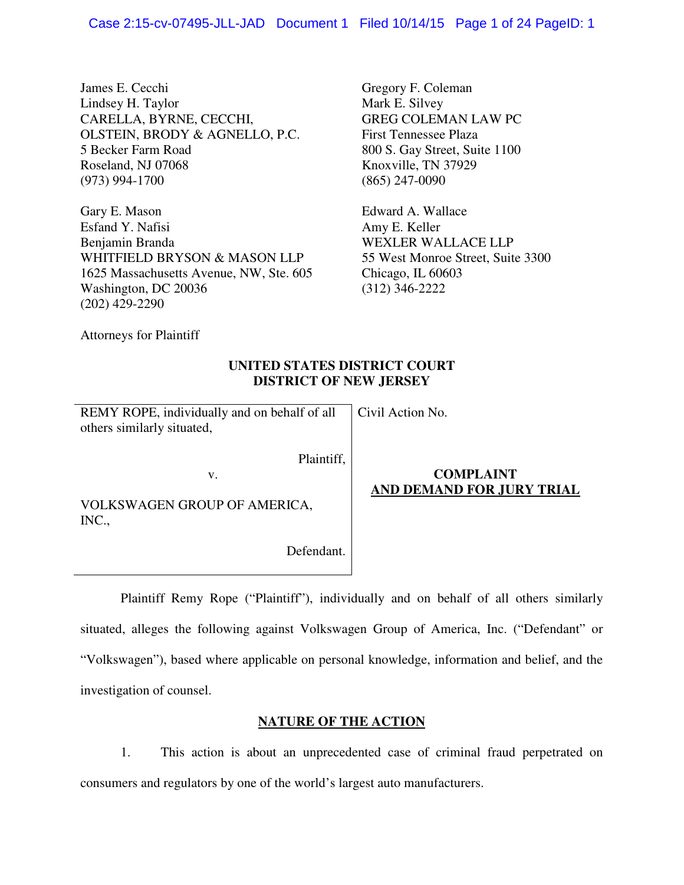James E. Cecchi Lindsey H. Taylor CARELLA, BYRNE, CECCHI, OLSTEIN, BRODY & AGNELLO, P.C. 5 Becker Farm Road Roseland, NJ 07068 (973) 994-1700

Gary E. Mason Esfand Y. Nafisi Benjamin Branda WHITFIELD BRYSON & MASON LLP 1625 Massachusetts Avenue, NW, Ste. 605 Washington, DC 20036 (202) 429-2290

Gregory F. Coleman Mark E. Silvey GREG COLEMAN LAW PC First Tennessee Plaza 800 S. Gay Street, Suite 1100 Knoxville, TN 37929 (865) 247-0090

Edward A. Wallace Amy E. Keller WEXLER WALLACE LLP 55 West Monroe Street, Suite 3300 Chicago, IL 60603 (312) 346-2222

Attorneys for Plaintiff

# **UNITED STATES DISTRICT COURT DISTRICT OF NEW JERSEY**

Civil Action No.

REMY ROPE, individually and on behalf of all others similarly situated,

v.

Plaintiff,

VOLKSWAGEN GROUP OF AMERICA, INC.,

Defendant.

# **COMPLAINT AND DEMAND FOR JURY TRIAL**

 Plaintiff Remy Rope ("Plaintiff"), individually and on behalf of all others similarly situated, alleges the following against Volkswagen Group of America, Inc. ("Defendant" or "Volkswagen"), based where applicable on personal knowledge, information and belief, and the investigation of counsel.

# **NATURE OF THE ACTION**

1. This action is about an unprecedented case of criminal fraud perpetrated on consumers and regulators by one of the world's largest auto manufacturers.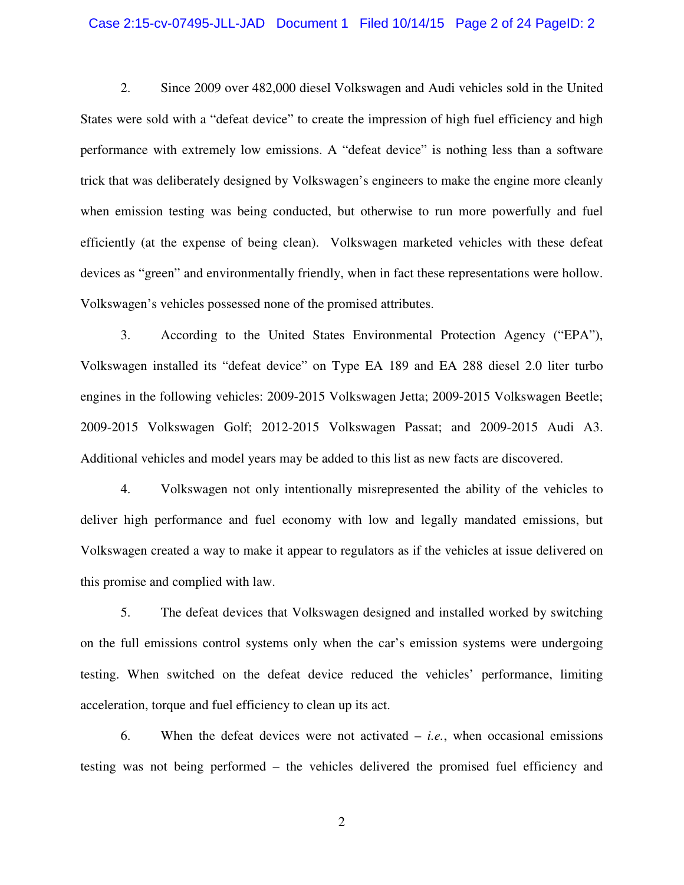### Case 2:15-cv-07495-JLL-JAD Document 1 Filed 10/14/15 Page 2 of 24 PageID: 2

2. Since 2009 over 482,000 diesel Volkswagen and Audi vehicles sold in the United States were sold with a "defeat device" to create the impression of high fuel efficiency and high performance with extremely low emissions. A "defeat device" is nothing less than a software trick that was deliberately designed by Volkswagen's engineers to make the engine more cleanly when emission testing was being conducted, but otherwise to run more powerfully and fuel efficiently (at the expense of being clean). Volkswagen marketed vehicles with these defeat devices as "green" and environmentally friendly, when in fact these representations were hollow. Volkswagen's vehicles possessed none of the promised attributes.

3. According to the United States Environmental Protection Agency ("EPA"), Volkswagen installed its "defeat device" on Type EA 189 and EA 288 diesel 2.0 liter turbo engines in the following vehicles: 2009-2015 Volkswagen Jetta; 2009-2015 Volkswagen Beetle; 2009-2015 Volkswagen Golf; 2012-2015 Volkswagen Passat; and 2009-2015 Audi A3. Additional vehicles and model years may be added to this list as new facts are discovered.

4. Volkswagen not only intentionally misrepresented the ability of the vehicles to deliver high performance and fuel economy with low and legally mandated emissions, but Volkswagen created a way to make it appear to regulators as if the vehicles at issue delivered on this promise and complied with law.

5. The defeat devices that Volkswagen designed and installed worked by switching on the full emissions control systems only when the car's emission systems were undergoing testing. When switched on the defeat device reduced the vehicles' performance, limiting acceleration, torque and fuel efficiency to clean up its act.

6. When the defeat devices were not activated – *i.e.*, when occasional emissions testing was not being performed – the vehicles delivered the promised fuel efficiency and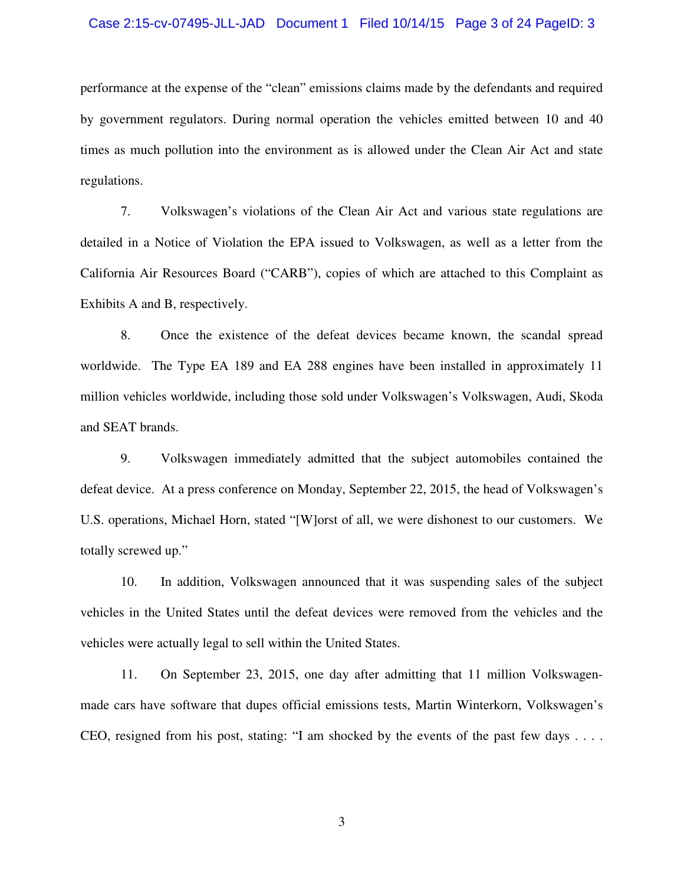### Case 2:15-cv-07495-JLL-JAD Document 1 Filed 10/14/15 Page 3 of 24 PageID: 3

performance at the expense of the "clean" emissions claims made by the defendants and required by government regulators. During normal operation the vehicles emitted between 10 and 40 times as much pollution into the environment as is allowed under the Clean Air Act and state regulations.

7. Volkswagen's violations of the Clean Air Act and various state regulations are detailed in a Notice of Violation the EPA issued to Volkswagen, as well as a letter from the California Air Resources Board ("CARB"), copies of which are attached to this Complaint as Exhibits A and B, respectively.

8. Once the existence of the defeat devices became known, the scandal spread worldwide. The Type EA 189 and EA 288 engines have been installed in approximately 11 million vehicles worldwide, including those sold under Volkswagen's Volkswagen, Audi, Skoda and SEAT brands.

9. Volkswagen immediately admitted that the subject automobiles contained the defeat device. At a press conference on Monday, September 22, 2015, the head of Volkswagen's U.S. operations, Michael Horn, stated "[W]orst of all, we were dishonest to our customers. We totally screwed up."

10. In addition, Volkswagen announced that it was suspending sales of the subject vehicles in the United States until the defeat devices were removed from the vehicles and the vehicles were actually legal to sell within the United States.

11. On September 23, 2015, one day after admitting that 11 million Volkswagenmade cars have software that dupes official emissions tests, Martin Winterkorn, Volkswagen's CEO, resigned from his post, stating: "I am shocked by the events of the past few days . . . .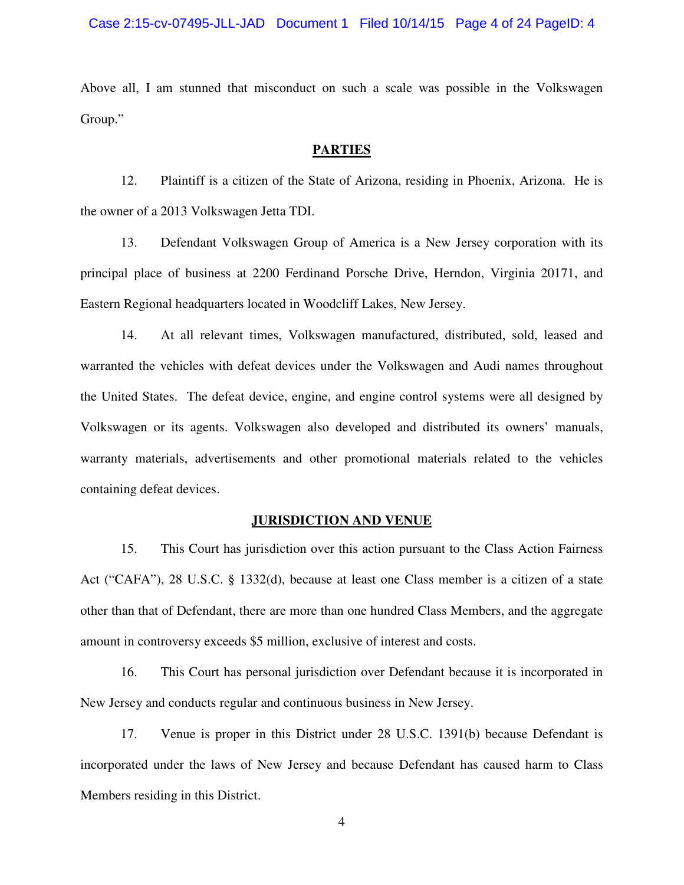Above all, I am stunned that misconduct on such a scale was possible in the Volkswagen Group."

### **PARTIES**

12. Plaintiff is a citizen of the State of Arizona, residing in Phoenix, Arizona. He is the owner of a 2013 Volkswagen Jetta TDI.

13. Defendant Volkswagen Group of America is a New Jersey corporation with its principal place of business at 2200 Ferdinand Porsche Drive, Herndon, Virginia 20171, and Eastern Regional headquarters located in Woodcliff Lakes, New Jersey.

14. At all relevant times, Volkswagen manufactured, distributed, sold, leased and warranted the vehicles with defeat devices under the Volkswagen and Audi names throughout the United States. The defeat device, engine, and engine control systems were all designed by Volkswagen or its agents. Volkswagen also developed and distributed its owners' manuals, warranty materials, advertisements and other promotional materials related to the vehicles containing defeat devices.

### **JURISDICTION AND VENUE**

15. This Court has jurisdiction over this action pursuant to the Class Action Fairness Act ("CAFA"), 28 U.S.C. § 1332(d), because at least one Class member is a citizen of a state other than that of Defendant, there are more than one hundred Class Members, and the aggregate amount in controversy exceeds \$5 million, exclusive of interest and costs.

16. This Court has personal jurisdiction over Defendant because it is incorporated in New Jersey and conducts regular and continuous business in New Jersey.

17. Venue is proper in this District under 28 U.S.C. 1391(b) because Defendant is incorporated under the laws of New Jersey and because Defendant has caused harm to Class Members residing in this District.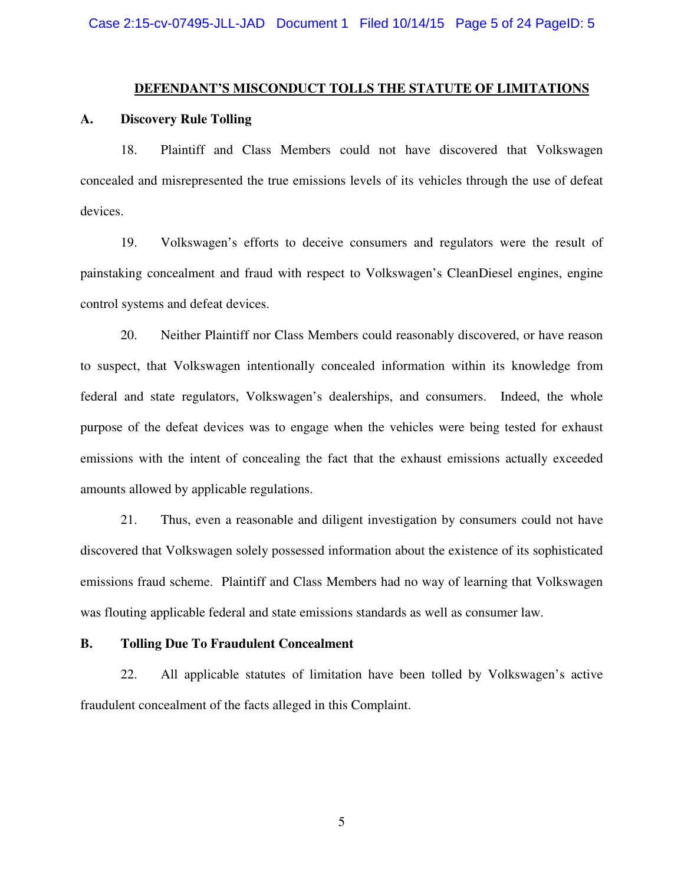### **DEFENDANT'S MISCONDUCT TOLLS THE STATUTE OF LIMITATIONS**

### **A. Discovery Rule Tolling**

18. Plaintiff and Class Members could not have discovered that Volkswagen concealed and misrepresented the true emissions levels of its vehicles through the use of defeat devices.

19. Volkswagen's efforts to deceive consumers and regulators were the result of painstaking concealment and fraud with respect to Volkswagen's CleanDiesel engines, engine control systems and defeat devices.

20. Neither Plaintiff nor Class Members could reasonably discovered, or have reason to suspect, that Volkswagen intentionally concealed information within its knowledge from federal and state regulators, Volkswagen's dealerships, and consumers. Indeed, the whole purpose of the defeat devices was to engage when the vehicles were being tested for exhaust emissions with the intent of concealing the fact that the exhaust emissions actually exceeded amounts allowed by applicable regulations.

21. Thus, even a reasonable and diligent investigation by consumers could not have discovered that Volkswagen solely possessed information about the existence of its sophisticated emissions fraud scheme. Plaintiff and Class Members had no way of learning that Volkswagen was flouting applicable federal and state emissions standards as well as consumer law.

### **B. Tolling Due To Fraudulent Concealment**

22. All applicable statutes of limitation have been tolled by Volkswagen's active fraudulent concealment of the facts alleged in this Complaint.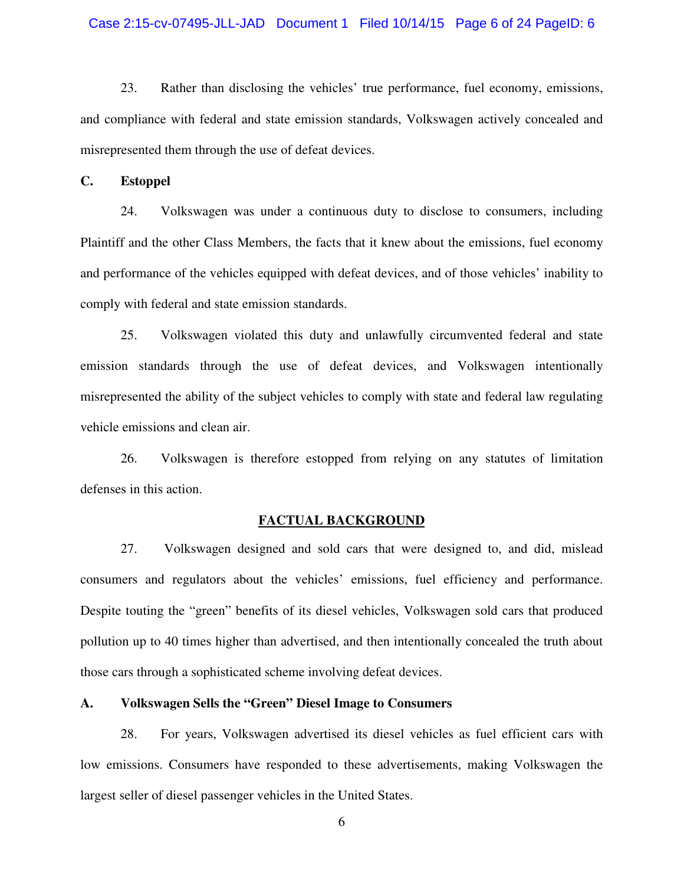### Case 2:15-cv-07495-JLL-JAD Document 1 Filed 10/14/15 Page 6 of 24 PageID: 6

23. Rather than disclosing the vehicles' true performance, fuel economy, emissions, and compliance with federal and state emission standards, Volkswagen actively concealed and misrepresented them through the use of defeat devices.

**C. Estoppel** 

24. Volkswagen was under a continuous duty to disclose to consumers, including Plaintiff and the other Class Members, the facts that it knew about the emissions, fuel economy and performance of the vehicles equipped with defeat devices, and of those vehicles' inability to comply with federal and state emission standards.

25. Volkswagen violated this duty and unlawfully circumvented federal and state emission standards through the use of defeat devices, and Volkswagen intentionally misrepresented the ability of the subject vehicles to comply with state and federal law regulating vehicle emissions and clean air.

26. Volkswagen is therefore estopped from relying on any statutes of limitation defenses in this action.

### **FACTUAL BACKGROUND**

27. Volkswagen designed and sold cars that were designed to, and did, mislead consumers and regulators about the vehicles' emissions, fuel efficiency and performance. Despite touting the "green" benefits of its diesel vehicles, Volkswagen sold cars that produced pollution up to 40 times higher than advertised, and then intentionally concealed the truth about those cars through a sophisticated scheme involving defeat devices.

### **A. Volkswagen Sells the "Green" Diesel Image to Consumers**

28. For years, Volkswagen advertised its diesel vehicles as fuel efficient cars with low emissions. Consumers have responded to these advertisements, making Volkswagen the largest seller of diesel passenger vehicles in the United States.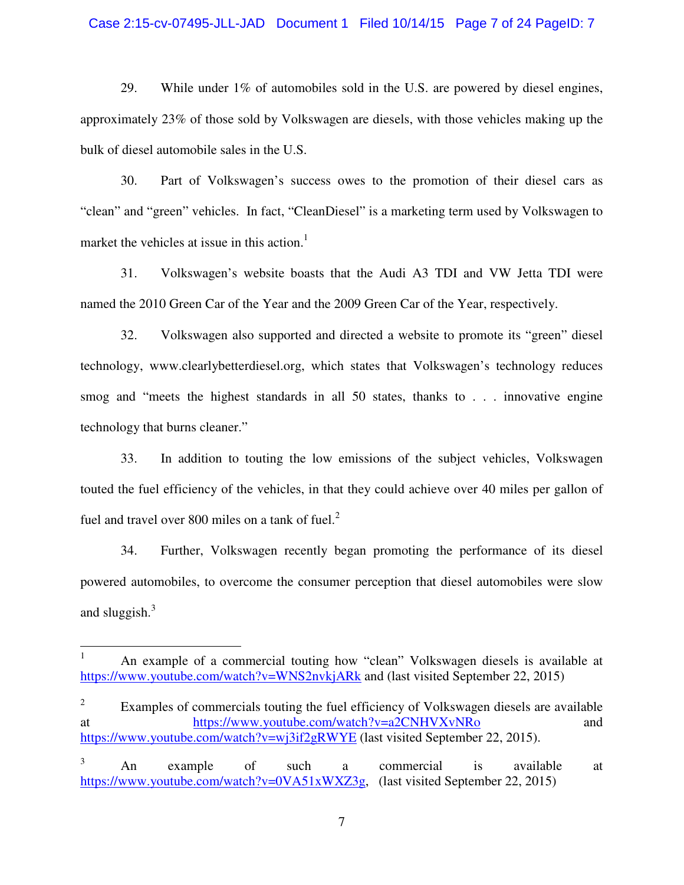### Case 2:15-cv-07495-JLL-JAD Document 1 Filed 10/14/15 Page 7 of 24 PageID: 7

29. While under 1% of automobiles sold in the U.S. are powered by diesel engines, approximately 23% of those sold by Volkswagen are diesels, with those vehicles making up the bulk of diesel automobile sales in the U.S.

30. Part of Volkswagen's success owes to the promotion of their diesel cars as "clean" and "green" vehicles. In fact, "CleanDiesel" is a marketing term used by Volkswagen to market the vehicles at issue in this action.<sup>1</sup>

31. Volkswagen's website boasts that the Audi A3 TDI and VW Jetta TDI were named the 2010 Green Car of the Year and the 2009 Green Car of the Year, respectively.

32. Volkswagen also supported and directed a website to promote its "green" diesel technology, www.clearlybetterdiesel.org, which states that Volkswagen's technology reduces smog and "meets the highest standards in all 50 states, thanks to . . . innovative engine technology that burns cleaner."

33. In addition to touting the low emissions of the subject vehicles, Volkswagen touted the fuel efficiency of the vehicles, in that they could achieve over 40 miles per gallon of fuel and travel over 800 miles on a tank of fuel. $2<sup>2</sup>$ 

34. Further, Volkswagen recently began promoting the performance of its diesel powered automobiles, to overcome the consumer perception that diesel automobiles were slow and sluggish. $3$ 

<u>.</u>

<sup>1</sup> An example of a commercial touting how "clean" Volkswagen diesels is available at https://www.youtube.com/watch?v=WNS2nvkjARk and (last visited September 22, 2015)

<sup>2</sup> Examples of commercials touting the fuel efficiency of Volkswagen diesels are available at https://www.youtube.com/watch?v=a2CNHVXvNRo and https://www.youtube.com/watch?v=wj3if2gRWYE (last visited September 22, 2015).

<sup>3</sup> An example of such a commercial is available at https://www.youtube.com/watch?v=0VA51xWXZ3g, (last visited September 22, 2015)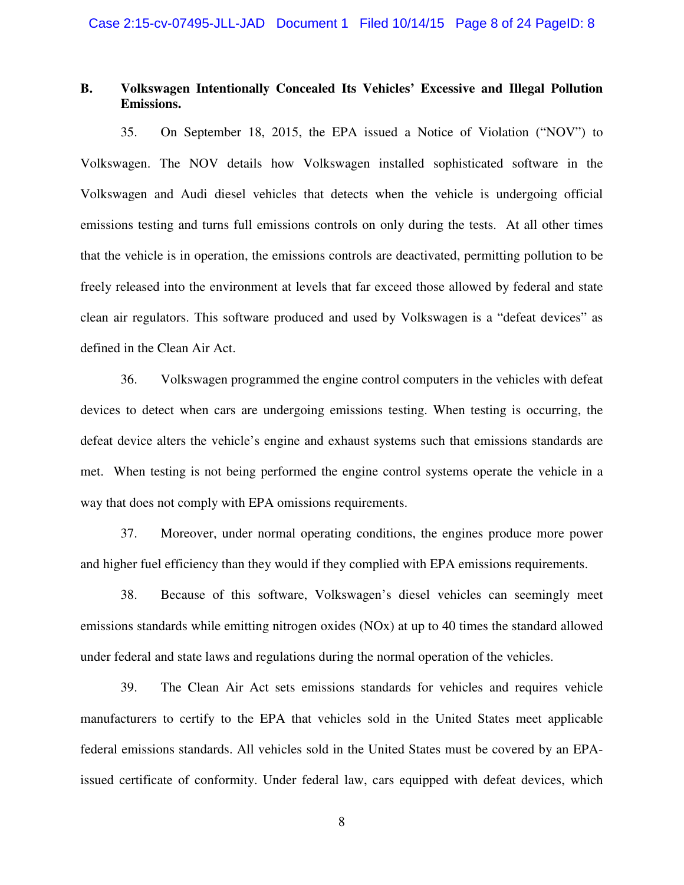## **B. Volkswagen Intentionally Concealed Its Vehicles' Excessive and Illegal Pollution Emissions.**

35. On September 18, 2015, the EPA issued a Notice of Violation ("NOV") to Volkswagen. The NOV details how Volkswagen installed sophisticated software in the Volkswagen and Audi diesel vehicles that detects when the vehicle is undergoing official emissions testing and turns full emissions controls on only during the tests. At all other times that the vehicle is in operation, the emissions controls are deactivated, permitting pollution to be freely released into the environment at levels that far exceed those allowed by federal and state clean air regulators. This software produced and used by Volkswagen is a "defeat devices" as defined in the Clean Air Act.

36. Volkswagen programmed the engine control computers in the vehicles with defeat devices to detect when cars are undergoing emissions testing. When testing is occurring, the defeat device alters the vehicle's engine and exhaust systems such that emissions standards are met. When testing is not being performed the engine control systems operate the vehicle in a way that does not comply with EPA omissions requirements.

37. Moreover, under normal operating conditions, the engines produce more power and higher fuel efficiency than they would if they complied with EPA emissions requirements.

38. Because of this software, Volkswagen's diesel vehicles can seemingly meet emissions standards while emitting nitrogen oxides (NOx) at up to 40 times the standard allowed under federal and state laws and regulations during the normal operation of the vehicles.

39. The Clean Air Act sets emissions standards for vehicles and requires vehicle manufacturers to certify to the EPA that vehicles sold in the United States meet applicable federal emissions standards. All vehicles sold in the United States must be covered by an EPAissued certificate of conformity. Under federal law, cars equipped with defeat devices, which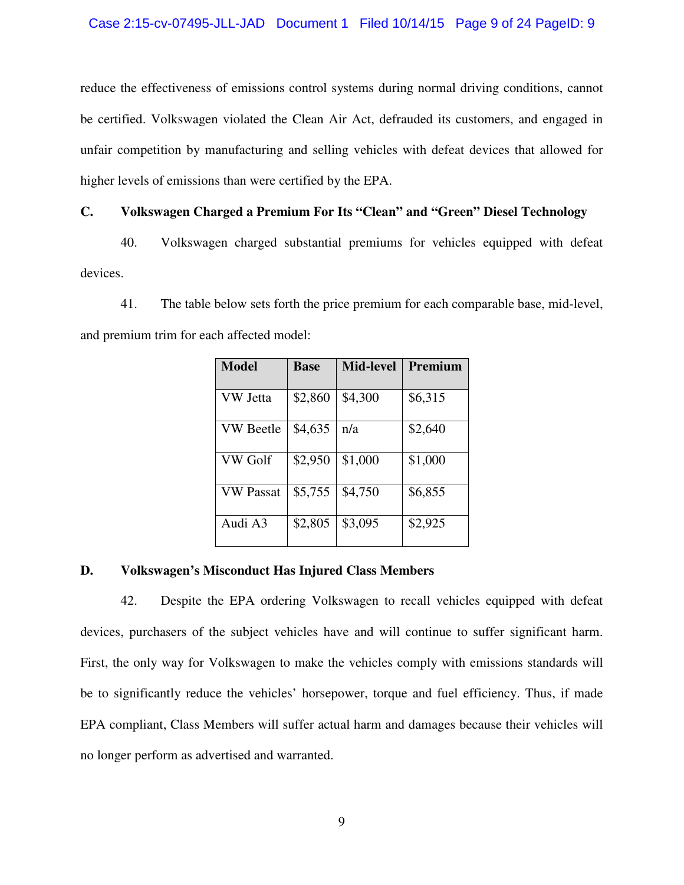### Case 2:15-cv-07495-JLL-JAD Document 1 Filed 10/14/15 Page 9 of 24 PageID: 9

reduce the effectiveness of emissions control systems during normal driving conditions, cannot be certified. Volkswagen violated the Clean Air Act, defrauded its customers, and engaged in unfair competition by manufacturing and selling vehicles with defeat devices that allowed for higher levels of emissions than were certified by the EPA.

## **C. Volkswagen Charged a Premium For Its "Clean" and "Green" Diesel Technology**

40. Volkswagen charged substantial premiums for vehicles equipped with defeat devices.

41. The table below sets forth the price premium for each comparable base, mid-level, and premium trim for each affected model:

| <b>Model</b>     | <b>Base</b> | <b>Mid-level</b> | Premium |
|------------------|-------------|------------------|---------|
| VW Jetta         | \$2,860     | \$4,300          | \$6,315 |
| <b>VW Beetle</b> | \$4,635     | n/a              | \$2,640 |
| VW Golf          | \$2,950     | \$1,000          | \$1,000 |
| VW Passat        | \$5,755     | \$4,750          | \$6,855 |
| Audi A3          | \$2,805     | \$3,095          | \$2,925 |

### **D. Volkswagen's Misconduct Has Injured Class Members**

42. Despite the EPA ordering Volkswagen to recall vehicles equipped with defeat devices, purchasers of the subject vehicles have and will continue to suffer significant harm. First, the only way for Volkswagen to make the vehicles comply with emissions standards will be to significantly reduce the vehicles' horsepower, torque and fuel efficiency. Thus, if made EPA compliant, Class Members will suffer actual harm and damages because their vehicles will no longer perform as advertised and warranted.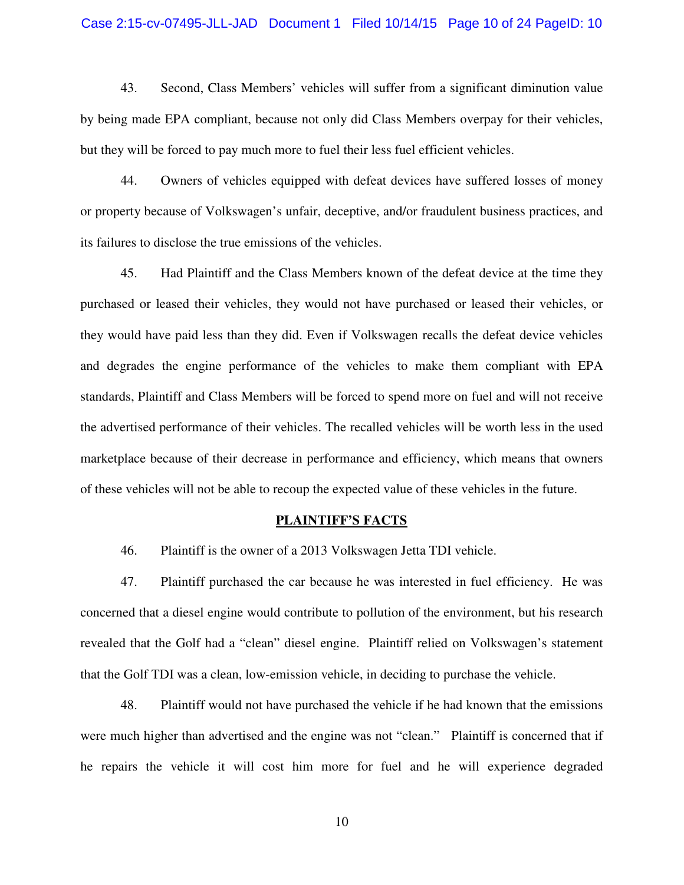### Case 2:15-cv-07495-JLL-JAD Document 1 Filed 10/14/15 Page 10 of 24 PageID: 10

43. Second, Class Members' vehicles will suffer from a significant diminution value by being made EPA compliant, because not only did Class Members overpay for their vehicles, but they will be forced to pay much more to fuel their less fuel efficient vehicles.

44. Owners of vehicles equipped with defeat devices have suffered losses of money or property because of Volkswagen's unfair, deceptive, and/or fraudulent business practices, and its failures to disclose the true emissions of the vehicles.

45. Had Plaintiff and the Class Members known of the defeat device at the time they purchased or leased their vehicles, they would not have purchased or leased their vehicles, or they would have paid less than they did. Even if Volkswagen recalls the defeat device vehicles and degrades the engine performance of the vehicles to make them compliant with EPA standards, Plaintiff and Class Members will be forced to spend more on fuel and will not receive the advertised performance of their vehicles. The recalled vehicles will be worth less in the used marketplace because of their decrease in performance and efficiency, which means that owners of these vehicles will not be able to recoup the expected value of these vehicles in the future.

#### **PLAINTIFF'S FACTS**

46. Plaintiff is the owner of a 2013 Volkswagen Jetta TDI vehicle.

47. Plaintiff purchased the car because he was interested in fuel efficiency. He was concerned that a diesel engine would contribute to pollution of the environment, but his research revealed that the Golf had a "clean" diesel engine. Plaintiff relied on Volkswagen's statement that the Golf TDI was a clean, low-emission vehicle, in deciding to purchase the vehicle.

48. Plaintiff would not have purchased the vehicle if he had known that the emissions were much higher than advertised and the engine was not "clean." Plaintiff is concerned that if he repairs the vehicle it will cost him more for fuel and he will experience degraded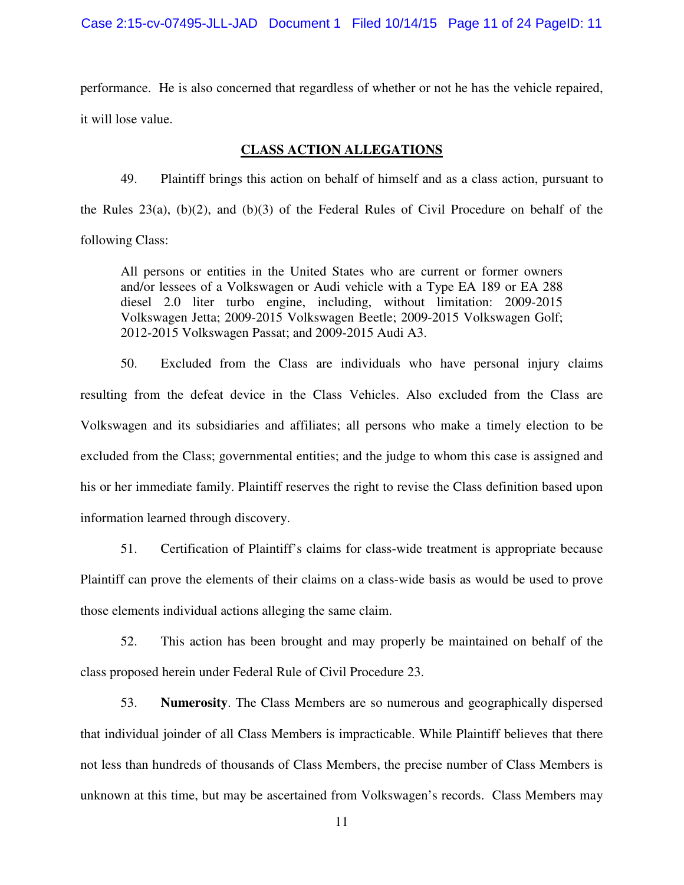performance. He is also concerned that regardless of whether or not he has the vehicle repaired, it will lose value.

## **CLASS ACTION ALLEGATIONS**

49. Plaintiff brings this action on behalf of himself and as a class action, pursuant to the Rules  $23(a)$ ,  $(b)(2)$ , and  $(b)(3)$  of the Federal Rules of Civil Procedure on behalf of the following Class:

All persons or entities in the United States who are current or former owners and/or lessees of a Volkswagen or Audi vehicle with a Type EA 189 or EA 288 diesel 2.0 liter turbo engine, including, without limitation: 2009-2015 Volkswagen Jetta; 2009-2015 Volkswagen Beetle; 2009-2015 Volkswagen Golf; 2012-2015 Volkswagen Passat; and 2009-2015 Audi A3.

50. Excluded from the Class are individuals who have personal injury claims resulting from the defeat device in the Class Vehicles. Also excluded from the Class are Volkswagen and its subsidiaries and affiliates; all persons who make a timely election to be excluded from the Class; governmental entities; and the judge to whom this case is assigned and his or her immediate family. Plaintiff reserves the right to revise the Class definition based upon information learned through discovery.

51. Certification of Plaintiff's claims for class-wide treatment is appropriate because Plaintiff can prove the elements of their claims on a class-wide basis as would be used to prove those elements individual actions alleging the same claim.

52. This action has been brought and may properly be maintained on behalf of the class proposed herein under Federal Rule of Civil Procedure 23.

53. **Numerosity**. The Class Members are so numerous and geographically dispersed that individual joinder of all Class Members is impracticable. While Plaintiff believes that there not less than hundreds of thousands of Class Members, the precise number of Class Members is unknown at this time, but may be ascertained from Volkswagen's records. Class Members may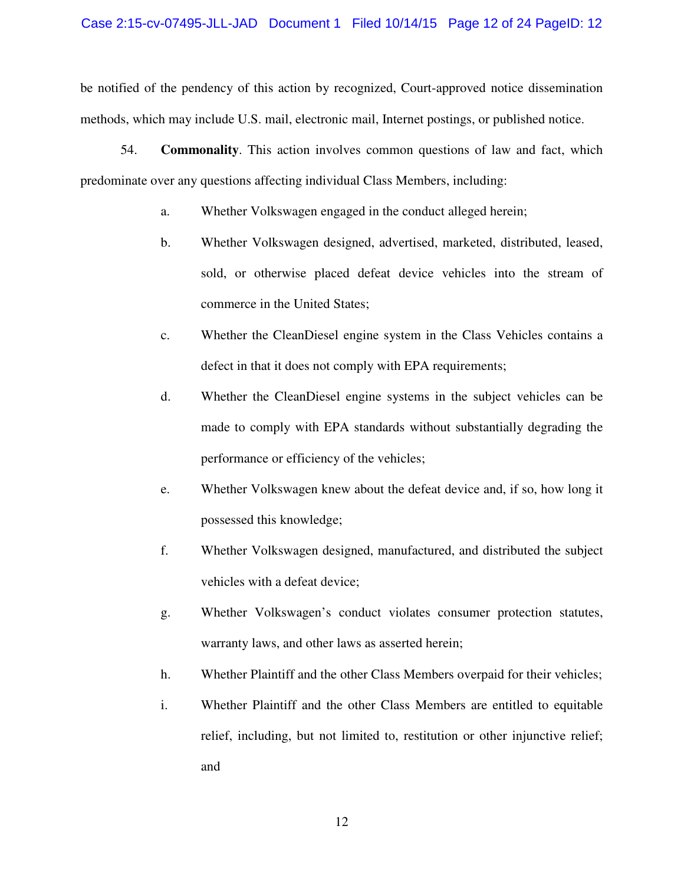### Case 2:15-cv-07495-JLL-JAD Document 1 Filed 10/14/15 Page 12 of 24 PageID: 12

be notified of the pendency of this action by recognized, Court-approved notice dissemination methods, which may include U.S. mail, electronic mail, Internet postings, or published notice.

54. **Commonality**. This action involves common questions of law and fact, which predominate over any questions affecting individual Class Members, including:

- a. Whether Volkswagen engaged in the conduct alleged herein;
- b. Whether Volkswagen designed, advertised, marketed, distributed, leased, sold, or otherwise placed defeat device vehicles into the stream of commerce in the United States;
- c. Whether the CleanDiesel engine system in the Class Vehicles contains a defect in that it does not comply with EPA requirements;
- d. Whether the CleanDiesel engine systems in the subject vehicles can be made to comply with EPA standards without substantially degrading the performance or efficiency of the vehicles;
- e. Whether Volkswagen knew about the defeat device and, if so, how long it possessed this knowledge;
- f. Whether Volkswagen designed, manufactured, and distributed the subject vehicles with a defeat device;
- g. Whether Volkswagen's conduct violates consumer protection statutes, warranty laws, and other laws as asserted herein;
- h. Whether Plaintiff and the other Class Members overpaid for their vehicles;
- i. Whether Plaintiff and the other Class Members are entitled to equitable relief, including, but not limited to, restitution or other injunctive relief; and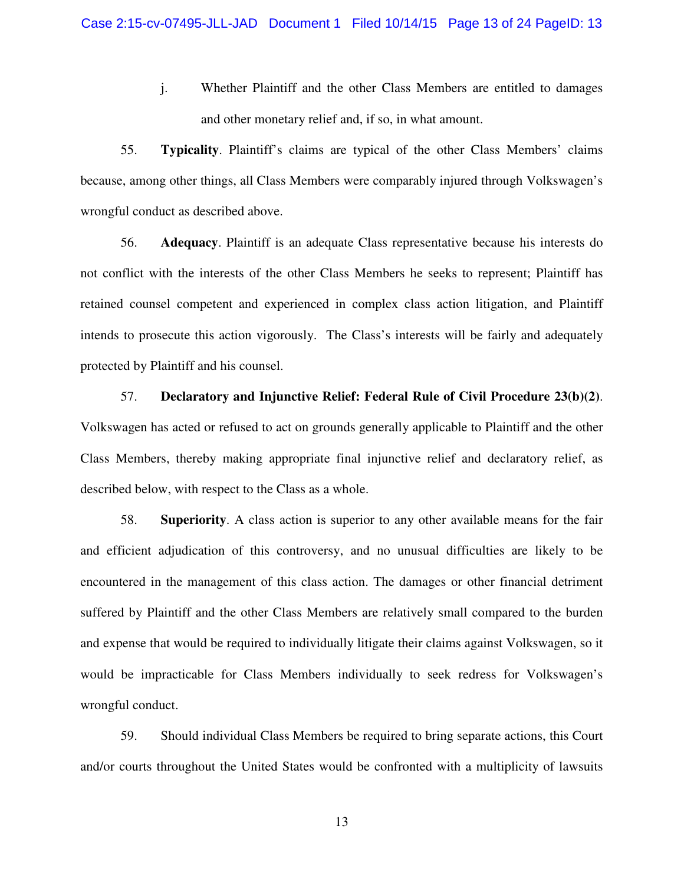j. Whether Plaintiff and the other Class Members are entitled to damages and other monetary relief and, if so, in what amount.

55. **Typicality**. Plaintiff's claims are typical of the other Class Members' claims because, among other things, all Class Members were comparably injured through Volkswagen's wrongful conduct as described above.

56. **Adequacy**. Plaintiff is an adequate Class representative because his interests do not conflict with the interests of the other Class Members he seeks to represent; Plaintiff has retained counsel competent and experienced in complex class action litigation, and Plaintiff intends to prosecute this action vigorously. The Class's interests will be fairly and adequately protected by Plaintiff and his counsel.

57. **Declaratory and Injunctive Relief: Federal Rule of Civil Procedure 23(b)(2)**. Volkswagen has acted or refused to act on grounds generally applicable to Plaintiff and the other Class Members, thereby making appropriate final injunctive relief and declaratory relief, as described below, with respect to the Class as a whole.

58. **Superiority**. A class action is superior to any other available means for the fair and efficient adjudication of this controversy, and no unusual difficulties are likely to be encountered in the management of this class action. The damages or other financial detriment suffered by Plaintiff and the other Class Members are relatively small compared to the burden and expense that would be required to individually litigate their claims against Volkswagen, so it would be impracticable for Class Members individually to seek redress for Volkswagen's wrongful conduct.

59. Should individual Class Members be required to bring separate actions, this Court and/or courts throughout the United States would be confronted with a multiplicity of lawsuits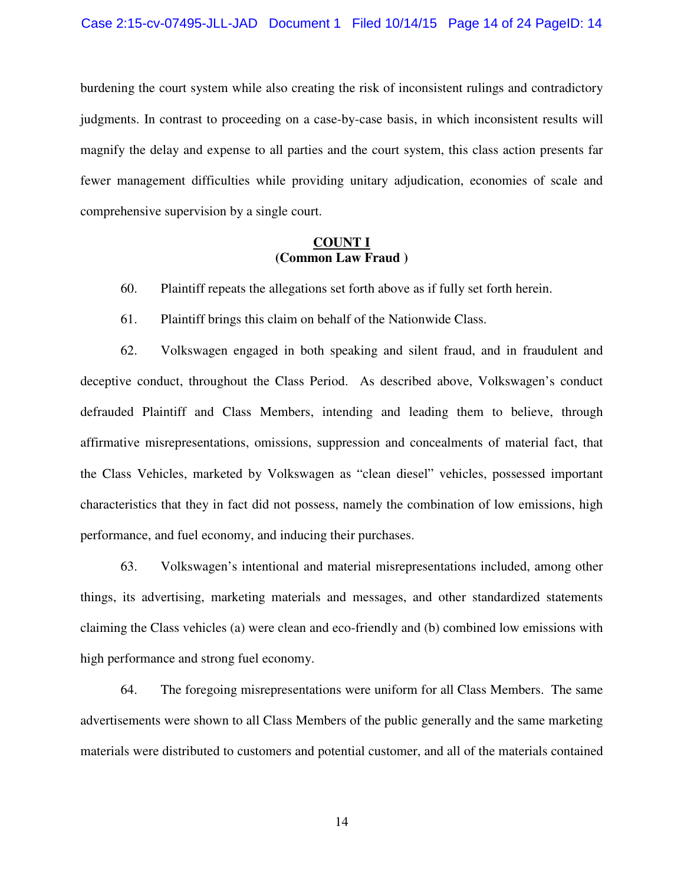burdening the court system while also creating the risk of inconsistent rulings and contradictory judgments. In contrast to proceeding on a case-by-case basis, in which inconsistent results will magnify the delay and expense to all parties and the court system, this class action presents far fewer management difficulties while providing unitary adjudication, economies of scale and comprehensive supervision by a single court.

### **COUNT I (Common Law Fraud )**

- 60. Plaintiff repeats the allegations set forth above as if fully set forth herein.
- 61. Plaintiff brings this claim on behalf of the Nationwide Class.

62. Volkswagen engaged in both speaking and silent fraud, and in fraudulent and deceptive conduct, throughout the Class Period. As described above, Volkswagen's conduct defrauded Plaintiff and Class Members, intending and leading them to believe, through affirmative misrepresentations, omissions, suppression and concealments of material fact, that the Class Vehicles, marketed by Volkswagen as "clean diesel" vehicles, possessed important characteristics that they in fact did not possess, namely the combination of low emissions, high performance, and fuel economy, and inducing their purchases.

63. Volkswagen's intentional and material misrepresentations included, among other things, its advertising, marketing materials and messages, and other standardized statements claiming the Class vehicles (a) were clean and eco-friendly and (b) combined low emissions with high performance and strong fuel economy.

64. The foregoing misrepresentations were uniform for all Class Members. The same advertisements were shown to all Class Members of the public generally and the same marketing materials were distributed to customers and potential customer, and all of the materials contained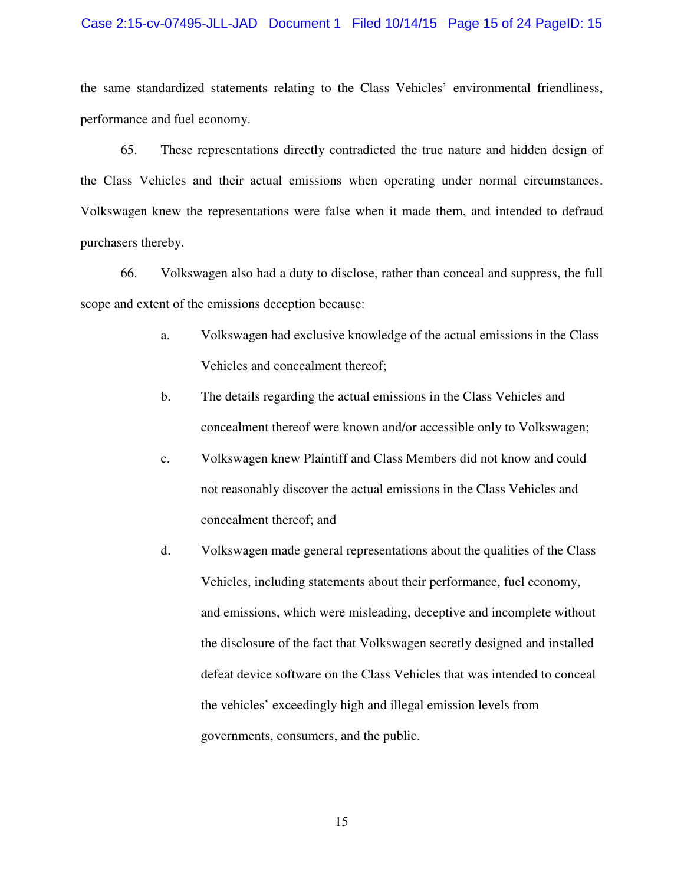### Case 2:15-cv-07495-JLL-JAD Document 1 Filed 10/14/15 Page 15 of 24 PageID: 15

the same standardized statements relating to the Class Vehicles' environmental friendliness, performance and fuel economy.

65. These representations directly contradicted the true nature and hidden design of the Class Vehicles and their actual emissions when operating under normal circumstances. Volkswagen knew the representations were false when it made them, and intended to defraud purchasers thereby.

66. Volkswagen also had a duty to disclose, rather than conceal and suppress, the full scope and extent of the emissions deception because:

- a. Volkswagen had exclusive knowledge of the actual emissions in the Class Vehicles and concealment thereof;
- b. The details regarding the actual emissions in the Class Vehicles and concealment thereof were known and/or accessible only to Volkswagen;
- c. Volkswagen knew Plaintiff and Class Members did not know and could not reasonably discover the actual emissions in the Class Vehicles and concealment thereof; and
- d. Volkswagen made general representations about the qualities of the Class Vehicles, including statements about their performance, fuel economy, and emissions, which were misleading, deceptive and incomplete without the disclosure of the fact that Volkswagen secretly designed and installed defeat device software on the Class Vehicles that was intended to conceal the vehicles' exceedingly high and illegal emission levels from governments, consumers, and the public.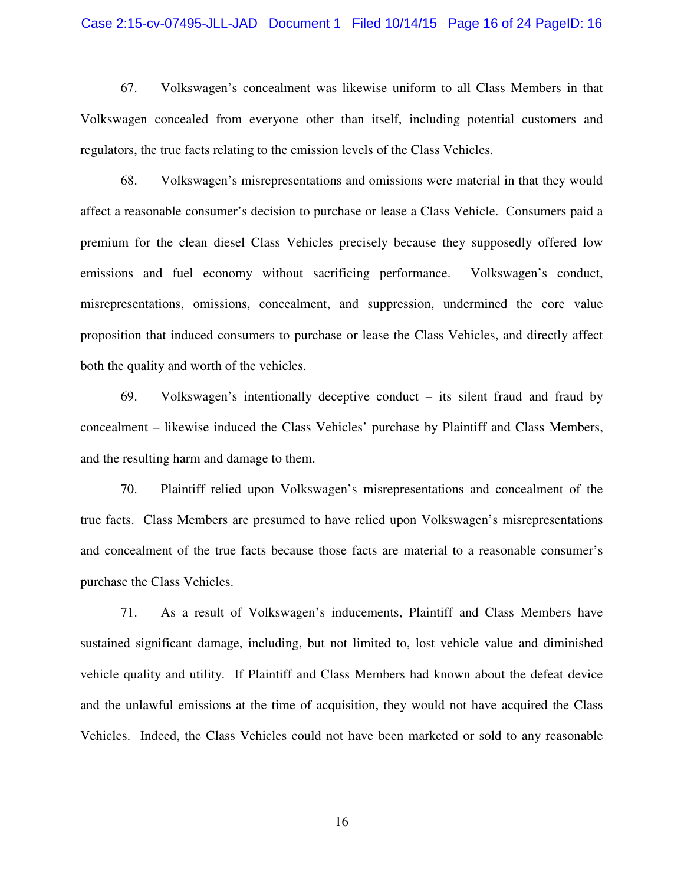### Case 2:15-cv-07495-JLL-JAD Document 1 Filed 10/14/15 Page 16 of 24 PageID: 16

67. Volkswagen's concealment was likewise uniform to all Class Members in that Volkswagen concealed from everyone other than itself, including potential customers and regulators, the true facts relating to the emission levels of the Class Vehicles.

68. Volkswagen's misrepresentations and omissions were material in that they would affect a reasonable consumer's decision to purchase or lease a Class Vehicle. Consumers paid a premium for the clean diesel Class Vehicles precisely because they supposedly offered low emissions and fuel economy without sacrificing performance. Volkswagen's conduct, misrepresentations, omissions, concealment, and suppression, undermined the core value proposition that induced consumers to purchase or lease the Class Vehicles, and directly affect both the quality and worth of the vehicles.

69. Volkswagen's intentionally deceptive conduct – its silent fraud and fraud by concealment – likewise induced the Class Vehicles' purchase by Plaintiff and Class Members, and the resulting harm and damage to them.

70. Plaintiff relied upon Volkswagen's misrepresentations and concealment of the true facts. Class Members are presumed to have relied upon Volkswagen's misrepresentations and concealment of the true facts because those facts are material to a reasonable consumer's purchase the Class Vehicles.

71. As a result of Volkswagen's inducements, Plaintiff and Class Members have sustained significant damage, including, but not limited to, lost vehicle value and diminished vehicle quality and utility. If Plaintiff and Class Members had known about the defeat device and the unlawful emissions at the time of acquisition, they would not have acquired the Class Vehicles. Indeed, the Class Vehicles could not have been marketed or sold to any reasonable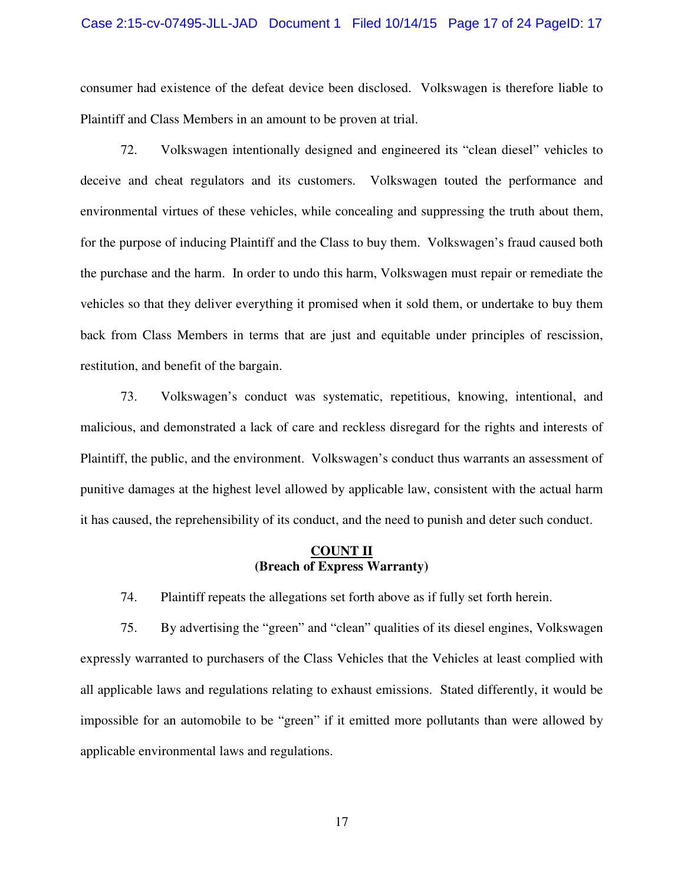### Case 2:15-cv-07495-JLL-JAD Document 1 Filed 10/14/15 Page 17 of 24 PageID: 17

consumer had existence of the defeat device been disclosed. Volkswagen is therefore liable to Plaintiff and Class Members in an amount to be proven at trial.

72. Volkswagen intentionally designed and engineered its "clean diesel" vehicles to deceive and cheat regulators and its customers. Volkswagen touted the performance and environmental virtues of these vehicles, while concealing and suppressing the truth about them, for the purpose of inducing Plaintiff and the Class to buy them. Volkswagen's fraud caused both the purchase and the harm. In order to undo this harm, Volkswagen must repair or remediate the vehicles so that they deliver everything it promised when it sold them, or undertake to buy them back from Class Members in terms that are just and equitable under principles of rescission, restitution, and benefit of the bargain.

73. Volkswagen's conduct was systematic, repetitious, knowing, intentional, and malicious, and demonstrated a lack of care and reckless disregard for the rights and interests of Plaintiff, the public, and the environment. Volkswagen's conduct thus warrants an assessment of punitive damages at the highest level allowed by applicable law, consistent with the actual harm it has caused, the reprehensibility of its conduct, and the need to punish and deter such conduct.

### **COUNT II (Breach of Express Warranty)**

74. Plaintiff repeats the allegations set forth above as if fully set forth herein.

75. By advertising the "green" and "clean" qualities of its diesel engines, Volkswagen expressly warranted to purchasers of the Class Vehicles that the Vehicles at least complied with all applicable laws and regulations relating to exhaust emissions. Stated differently, it would be impossible for an automobile to be "green" if it emitted more pollutants than were allowed by applicable environmental laws and regulations.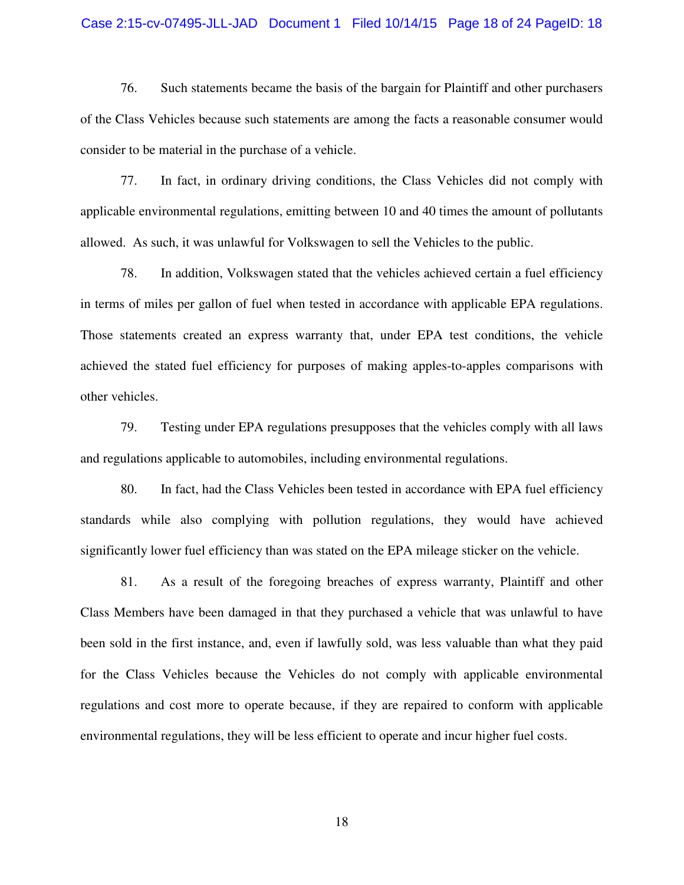### Case 2:15-cv-07495-JLL-JAD Document 1 Filed 10/14/15 Page 18 of 24 PageID: 18

76. Such statements became the basis of the bargain for Plaintiff and other purchasers of the Class Vehicles because such statements are among the facts a reasonable consumer would consider to be material in the purchase of a vehicle.

77. In fact, in ordinary driving conditions, the Class Vehicles did not comply with applicable environmental regulations, emitting between 10 and 40 times the amount of pollutants allowed. As such, it was unlawful for Volkswagen to sell the Vehicles to the public.

78. In addition, Volkswagen stated that the vehicles achieved certain a fuel efficiency in terms of miles per gallon of fuel when tested in accordance with applicable EPA regulations. Those statements created an express warranty that, under EPA test conditions, the vehicle achieved the stated fuel efficiency for purposes of making apples-to-apples comparisons with other vehicles.

79. Testing under EPA regulations presupposes that the vehicles comply with all laws and regulations applicable to automobiles, including environmental regulations.

80. In fact, had the Class Vehicles been tested in accordance with EPA fuel efficiency standards while also complying with pollution regulations, they would have achieved significantly lower fuel efficiency than was stated on the EPA mileage sticker on the vehicle.

81. As a result of the foregoing breaches of express warranty, Plaintiff and other Class Members have been damaged in that they purchased a vehicle that was unlawful to have been sold in the first instance, and, even if lawfully sold, was less valuable than what they paid for the Class Vehicles because the Vehicles do not comply with applicable environmental regulations and cost more to operate because, if they are repaired to conform with applicable environmental regulations, they will be less efficient to operate and incur higher fuel costs.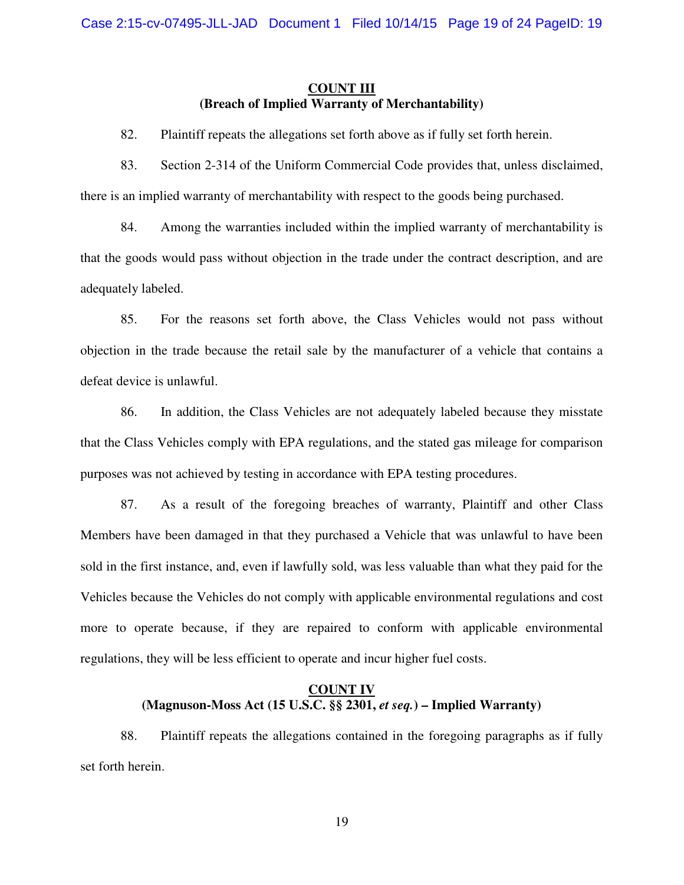## **COUNT III (Breach of Implied Warranty of Merchantability)**

- 82. Plaintiff repeats the allegations set forth above as if fully set forth herein.
- 83. Section 2-314 of the Uniform Commercial Code provides that, unless disclaimed, there is an implied warranty of merchantability with respect to the goods being purchased.

84. Among the warranties included within the implied warranty of merchantability is that the goods would pass without objection in the trade under the contract description, and are adequately labeled.

85. For the reasons set forth above, the Class Vehicles would not pass without objection in the trade because the retail sale by the manufacturer of a vehicle that contains a defeat device is unlawful.

86. In addition, the Class Vehicles are not adequately labeled because they misstate that the Class Vehicles comply with EPA regulations, and the stated gas mileage for comparison purposes was not achieved by testing in accordance with EPA testing procedures.

87. As a result of the foregoing breaches of warranty, Plaintiff and other Class Members have been damaged in that they purchased a Vehicle that was unlawful to have been sold in the first instance, and, even if lawfully sold, was less valuable than what they paid for the Vehicles because the Vehicles do not comply with applicable environmental regulations and cost more to operate because, if they are repaired to conform with applicable environmental regulations, they will be less efficient to operate and incur higher fuel costs.

## **COUNT IV (Magnuson-Moss Act (15 U.S.C. §§ 2301,** *et seq.***) – Implied Warranty)**

88. Plaintiff repeats the allegations contained in the foregoing paragraphs as if fully set forth herein.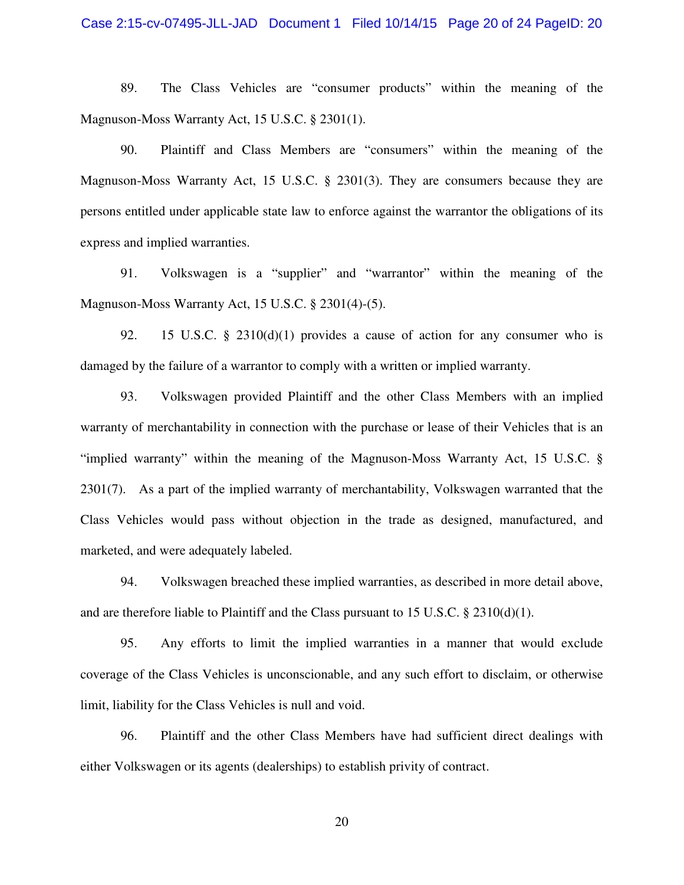89. The Class Vehicles are "consumer products" within the meaning of the Magnuson-Moss Warranty Act, 15 U.S.C. § 2301(1).

90. Plaintiff and Class Members are "consumers" within the meaning of the Magnuson-Moss Warranty Act, 15 U.S.C. § 2301(3). They are consumers because they are persons entitled under applicable state law to enforce against the warrantor the obligations of its express and implied warranties.

91. Volkswagen is a "supplier" and "warrantor" within the meaning of the Magnuson-Moss Warranty Act, 15 U.S.C. § 2301(4)-(5).

92. 15 U.S.C. § 2310(d)(1) provides a cause of action for any consumer who is damaged by the failure of a warrantor to comply with a written or implied warranty.

93. Volkswagen provided Plaintiff and the other Class Members with an implied warranty of merchantability in connection with the purchase or lease of their Vehicles that is an "implied warranty" within the meaning of the Magnuson-Moss Warranty Act, 15 U.S.C. § 2301(7). As a part of the implied warranty of merchantability, Volkswagen warranted that the Class Vehicles would pass without objection in the trade as designed, manufactured, and marketed, and were adequately labeled.

94. Volkswagen breached these implied warranties, as described in more detail above, and are therefore liable to Plaintiff and the Class pursuant to 15 U.S.C.  $\S$  2310(d)(1).

95. Any efforts to limit the implied warranties in a manner that would exclude coverage of the Class Vehicles is unconscionable, and any such effort to disclaim, or otherwise limit, liability for the Class Vehicles is null and void.

96. Plaintiff and the other Class Members have had sufficient direct dealings with either Volkswagen or its agents (dealerships) to establish privity of contract.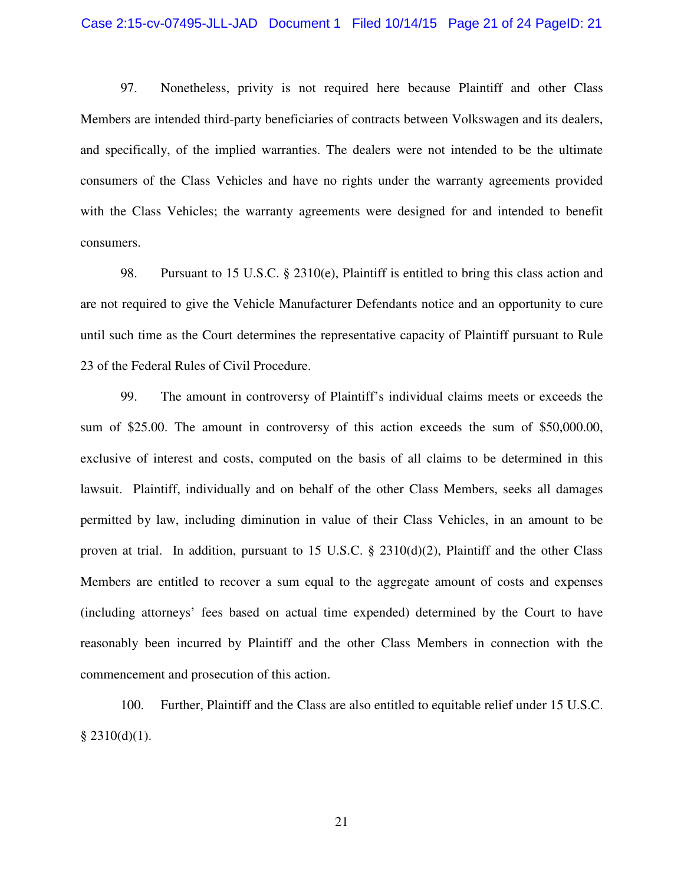### Case 2:15-cv-07495-JLL-JAD Document 1 Filed 10/14/15 Page 21 of 24 PageID: 21

97. Nonetheless, privity is not required here because Plaintiff and other Class Members are intended third-party beneficiaries of contracts between Volkswagen and its dealers, and specifically, of the implied warranties. The dealers were not intended to be the ultimate consumers of the Class Vehicles and have no rights under the warranty agreements provided with the Class Vehicles; the warranty agreements were designed for and intended to benefit consumers.

98. Pursuant to 15 U.S.C. § 2310(e), Plaintiff is entitled to bring this class action and are not required to give the Vehicle Manufacturer Defendants notice and an opportunity to cure until such time as the Court determines the representative capacity of Plaintiff pursuant to Rule 23 of the Federal Rules of Civil Procedure.

99. The amount in controversy of Plaintiff's individual claims meets or exceeds the sum of \$25.00. The amount in controversy of this action exceeds the sum of \$50,000.00, exclusive of interest and costs, computed on the basis of all claims to be determined in this lawsuit. Plaintiff, individually and on behalf of the other Class Members, seeks all damages permitted by law, including diminution in value of their Class Vehicles, in an amount to be proven at trial. In addition, pursuant to 15 U.S.C. § 2310(d)(2), Plaintiff and the other Class Members are entitled to recover a sum equal to the aggregate amount of costs and expenses (including attorneys' fees based on actual time expended) determined by the Court to have reasonably been incurred by Plaintiff and the other Class Members in connection with the commencement and prosecution of this action.

100. Further, Plaintiff and the Class are also entitled to equitable relief under 15 U.S.C.  $§$  2310(d)(1).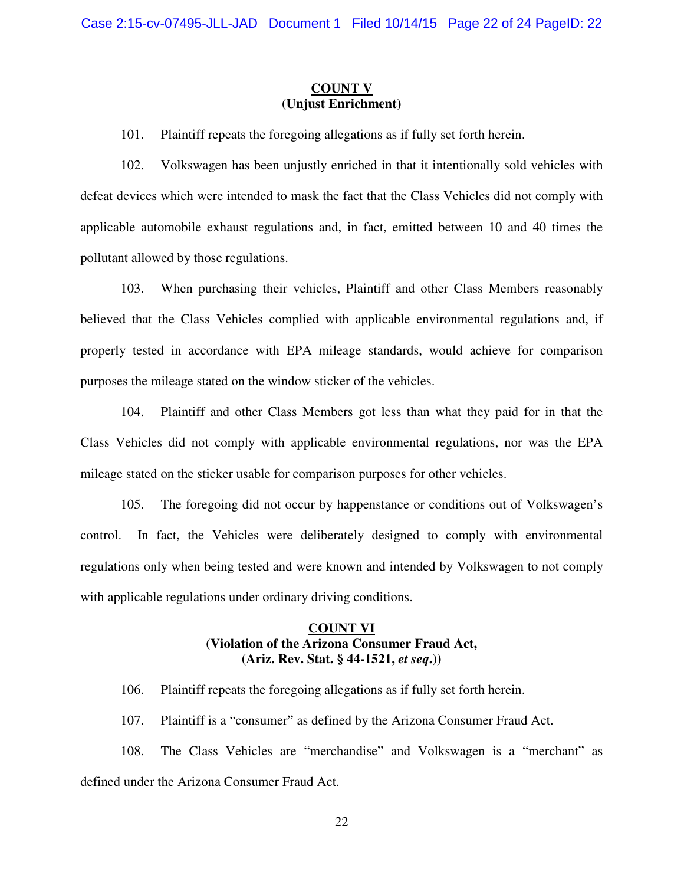### **COUNT V (Unjust Enrichment)**

101. Plaintiff repeats the foregoing allegations as if fully set forth herein.

102. Volkswagen has been unjustly enriched in that it intentionally sold vehicles with defeat devices which were intended to mask the fact that the Class Vehicles did not comply with applicable automobile exhaust regulations and, in fact, emitted between 10 and 40 times the pollutant allowed by those regulations.

103. When purchasing their vehicles, Plaintiff and other Class Members reasonably believed that the Class Vehicles complied with applicable environmental regulations and, if properly tested in accordance with EPA mileage standards, would achieve for comparison purposes the mileage stated on the window sticker of the vehicles.

104. Plaintiff and other Class Members got less than what they paid for in that the Class Vehicles did not comply with applicable environmental regulations, nor was the EPA mileage stated on the sticker usable for comparison purposes for other vehicles.

105. The foregoing did not occur by happenstance or conditions out of Volkswagen's control. In fact, the Vehicles were deliberately designed to comply with environmental regulations only when being tested and were known and intended by Volkswagen to not comply with applicable regulations under ordinary driving conditions.

## **COUNT VI (Violation of the Arizona Consumer Fraud Act, (Ariz. Rev. Stat. § 44-1521,** *et seq***.))**

106. Plaintiff repeats the foregoing allegations as if fully set forth herein.

107. Plaintiff is a "consumer" as defined by the Arizona Consumer Fraud Act.

108. The Class Vehicles are "merchandise" and Volkswagen is a "merchant" as defined under the Arizona Consumer Fraud Act.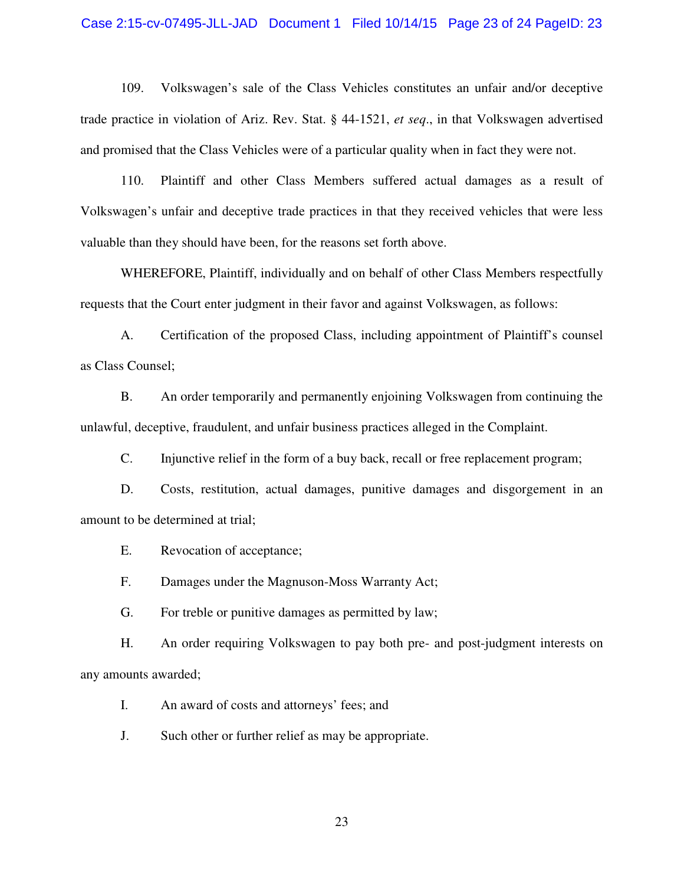### Case 2:15-cv-07495-JLL-JAD Document 1 Filed 10/14/15 Page 23 of 24 PageID: 23

109. Volkswagen's sale of the Class Vehicles constitutes an unfair and/or deceptive trade practice in violation of Ariz. Rev. Stat. § 44-1521, *et seq*., in that Volkswagen advertised and promised that the Class Vehicles were of a particular quality when in fact they were not.

110. Plaintiff and other Class Members suffered actual damages as a result of Volkswagen's unfair and deceptive trade practices in that they received vehicles that were less valuable than they should have been, for the reasons set forth above.

WHEREFORE, Plaintiff, individually and on behalf of other Class Members respectfully requests that the Court enter judgment in their favor and against Volkswagen, as follows:

A. Certification of the proposed Class, including appointment of Plaintiff's counsel as Class Counsel;

B. An order temporarily and permanently enjoining Volkswagen from continuing the unlawful, deceptive, fraudulent, and unfair business practices alleged in the Complaint.

C. Injunctive relief in the form of a buy back, recall or free replacement program;

D. Costs, restitution, actual damages, punitive damages and disgorgement in an amount to be determined at trial;

E. Revocation of acceptance;

F. Damages under the Magnuson-Moss Warranty Act;

G. For treble or punitive damages as permitted by law;

H. An order requiring Volkswagen to pay both pre- and post-judgment interests on any amounts awarded;

I. An award of costs and attorneys' fees; and

J. Such other or further relief as may be appropriate.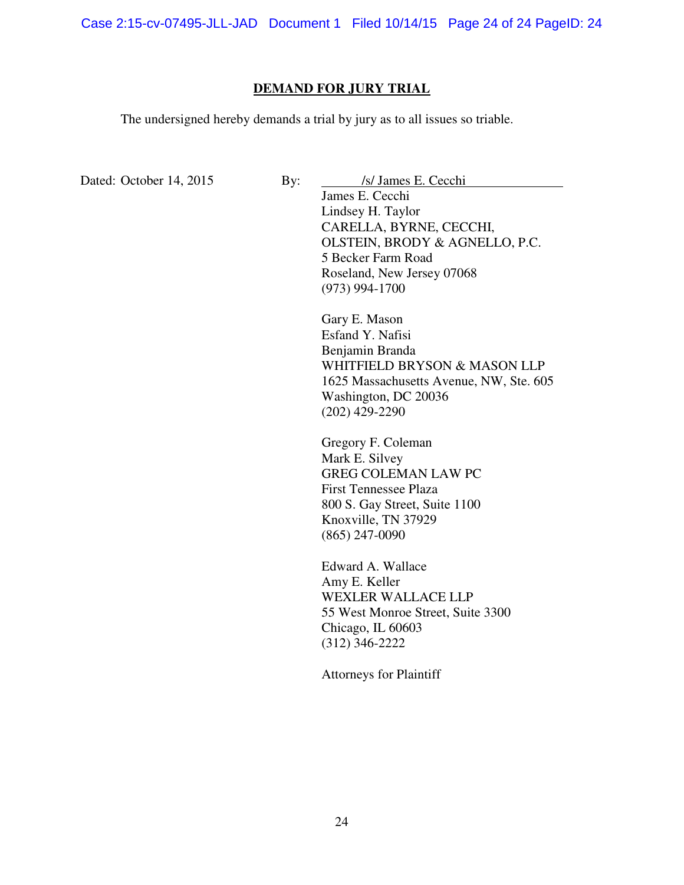Case 2:15-cv-07495-JLL-JAD Document 1 Filed 10/14/15 Page 24 of 24 PageID: 24

### **DEMAND FOR JURY TRIAL**

The undersigned hereby demands a trial by jury as to all issues so triable.

Dated: October 14, 2015 By: *Isl James E. Cecchi* 

James E. Cecchi Lindsey H. Taylor CARELLA, BYRNE, CECCHI, OLSTEIN, BRODY & AGNELLO, P.C. 5 Becker Farm Road Roseland, New Jersey 07068 (973) 994-1700

Gary E. Mason Esfand Y. Nafisi Benjamin Branda WHITFIELD BRYSON & MASON LLP 1625 Massachusetts Avenue, NW, Ste. 605 Washington, DC 20036 (202) 429-2290

Gregory F. Coleman Mark E. Silvey GREG COLEMAN LAW PC First Tennessee Plaza 800 S. Gay Street, Suite 1100 Knoxville, TN 37929 (865) 247-0090

Edward A. Wallace Amy E. Keller WEXLER WALLACE LLP 55 West Monroe Street, Suite 3300 Chicago, IL 60603 (312) 346-2222

Attorneys for Plaintiff